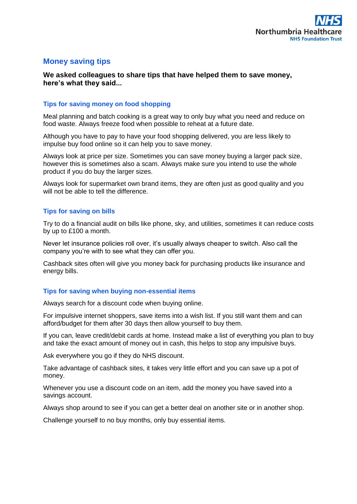# **Money saving tips**

# **We asked colleagues to share tips that have helped them to save money, here's what they said...**

### **Tips for saving money on food shopping**

Meal planning and batch cooking is a great way to only buy what you need and reduce on food waste. Always freeze food when possible to reheat at a future date.

Although you have to pay to have your food shopping delivered, you are less likely to impulse buy food online so it can help you to save money.

Always look at price per size. Sometimes you can save money buying a larger pack size, however this is sometimes also a scam. Always make sure you intend to use the whole product if you do buy the larger sizes.

Always look for supermarket own brand items, they are often just as good quality and you will not be able to tell the difference.

# **Tips for saving on bills**

Try to do a financial audit on bills like phone, sky, and utilities, sometimes it can reduce costs by up to £100 a month.

Never let insurance policies roll over, it's usually always cheaper to switch. Also call the company you're with to see what they can offer you.

Cashback sites often will give you money back for purchasing products like insurance and energy bills.

#### **Tips for saving when buying non-essential items**

Always search for a discount code when buying online.

For impulsive internet shoppers, save items into a wish list. If you still want them and can afford/budget for them after 30 days then allow yourself to buy them.

If you can, leave credit/debit cards at home. Instead make a list of everything you plan to buy and take the exact amount of money out in cash, this helps to stop any impulsive buys.

Ask everywhere you go if they do NHS discount.

Take advantage of cashback sites, it takes very little effort and you can save up a pot of money.

Whenever you use a discount code on an item, add the money you have saved into a savings account.

Always shop around to see if you can get a better deal on another site or in another shop.

Challenge yourself to no buy months, only buy essential items.